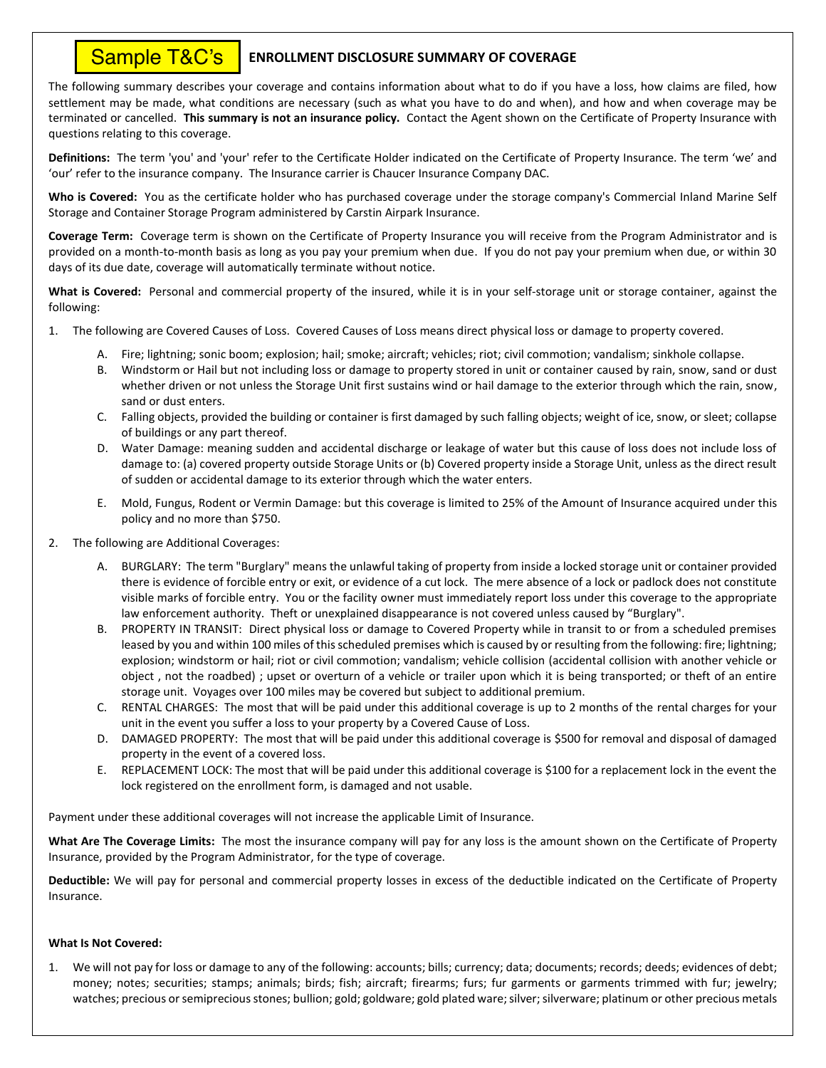### **ENROLLMENT DISCLOSURE SUMMARY OF COVERAGE** Sample T&C's

The following summary describes your coverage and contains information about what to do if you have a loss, how claims are filed, how settlement may be made, what conditions are necessary (such as what you have to do and when), and how and when coverage may be terminated or cancelled. **This summary is not an insurance policy.** Contact the Agent shown on the Certificate of Property Insurance with questions relating to this coverage.

**Definitions:** The term 'you' and 'your' refer to the Certificate Holder indicated on the Certificate of Property Insurance. The term 'we' and 'our' refer to the insurance company. The Insurance carrier is Chaucer Insurance Company DAC.

**Who is Covered:** You as the certificate holder who has purchased coverage under the storage company's Commercial Inland Marine Self Storage and Container Storage Program administered by Carstin Airpark Insurance.

**Coverage Term:** Coverage term is shown on the Certificate of Property Insurance you will receive from the Program Administrator and is provided on a month-to-month basis as long as you pay your premium when due. If you do not pay your premium when due, or within 30 days of its due date, coverage will automatically terminate without notice.

**What is Covered:** Personal and commercial property of the insured, while it is in your self-storage unit or storage container, against the following:

- 1. The following are Covered Causes of Loss. Covered Causes of Loss means direct physical loss or damage to property covered.
	- A. Fire; lightning; sonic boom; explosion; hail; smoke; aircraft; vehicles; riot; civil commotion; vandalism; sinkhole collapse.
	- B. Windstorm or Hail but not including loss or damage to property stored in unit or container caused by rain, snow, sand or dust whether driven or not unless the Storage Unit first sustains wind or hail damage to the exterior through which the rain, snow, sand or dust enters.
	- C. Falling objects, provided the building or container is first damaged by such falling objects; weight of ice, snow, or sleet; collapse of buildings or any part thereof.
	- D. Water Damage: meaning sudden and accidental discharge or leakage of water but this cause of loss does not include loss of damage to: (a) covered property outside Storage Units or (b) Covered property inside a Storage Unit, unless as the direct result of sudden or accidental damage to its exterior through which the water enters.
	- E. Mold, Fungus, Rodent or Vermin Damage: but this coverage is limited to 25% of the Amount of Insurance acquired under this policy and no more than \$750.
- 2. The following are Additional Coverages:
	- A. BURGLARY: The term "Burglary" means the unlawful taking of property from inside a locked storage unit or container provided there is evidence of forcible entry or exit, or evidence of a cut lock. The mere absence of a lock or padlock does not constitute visible marks of forcible entry. You or the facility owner must immediately report loss under this coverage to the appropriate law enforcement authority. Theft or unexplained disappearance is not covered unless caused by "Burglary".
	- B. PROPERTY IN TRANSIT: Direct physical loss or damage to Covered Property while in transit to or from a scheduled premises leased by you and within 100 miles of this scheduled premises which is caused by or resulting from the following: fire; lightning; explosion; windstorm or hail; riot or civil commotion; vandalism; vehicle collision (accidental collision with another vehicle or object , not the roadbed) ; upset or overturn of a vehicle or trailer upon which it is being transported; or theft of an entire storage unit. Voyages over 100 miles may be covered but subject to additional premium.
	- C. RENTAL CHARGES: The most that will be paid under this additional coverage is up to 2 months of the rental charges for your unit in the event you suffer a loss to your property by a Covered Cause of Loss.
	- D. DAMAGED PROPERTY: The most that will be paid under this additional coverage is \$500 for removal and disposal of damaged property in the event of a covered loss.
	- E. REPLACEMENT LOCK: The most that will be paid under this additional coverage is \$100 for a replacement lock in the event the lock registered on the enrollment form, is damaged and not usable.

Payment under these additional coverages will not increase the applicable Limit of Insurance.

**What Are The Coverage Limits:** The most the insurance company will pay for any loss is the amount shown on the Certificate of Property Insurance, provided by the Program Administrator, for the type of coverage.

**Deductible:** We will pay for personal and commercial property losses in excess of the deductible indicated on the Certificate of Property Insurance.

### **What Is Not Covered:**

1. We will not pay for loss or damage to any of the following: accounts; bills; currency; data; documents; records; deeds; evidences of debt; money; notes; securities; stamps; animals; birds; fish; aircraft; firearms; furs; fur garments or garments trimmed with fur; jewelry; watches; precious or semiprecious stones; bullion; gold; goldware; gold plated ware; silver; silverware; platinum or other precious metals